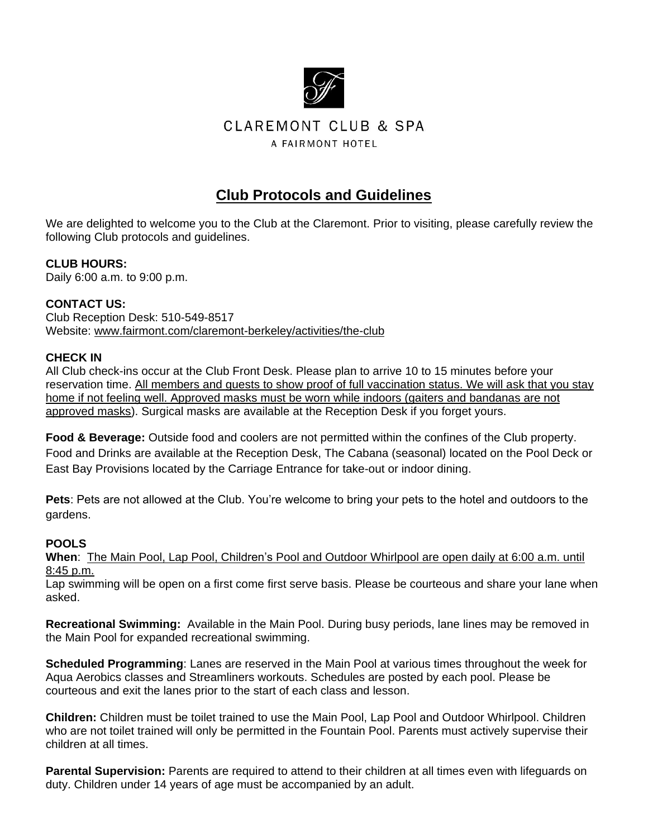

# **CLAREMONT CLUB & SPA** A FAIRMONT HOTEL

# **Club Protocols and Guidelines**

We are delighted to welcome you to the Club at the Claremont. Prior to visiting, please carefully review the following Club protocols and guidelines.

### **CLUB HOURS:**

Daily 6:00 a.m. to 9:00 p.m.

### **CONTACT US:**

Club Reception Desk: 510-549-8517 Website: www.fairmont.com/claremont-berkeley/activities/the-club

### **CHECK IN**

All Club check-ins occur at the Club Front Desk. Please plan to arrive 10 to 15 minutes before your reservation time. All members and guests to show proof of full vaccination status. We will ask that you stay home if not feeling well. Approved masks must be worn while indoors (gaiters and bandanas are not approved masks). Surgical masks are available at the Reception Desk if you forget yours.

**Food & Beverage:** Outside food and coolers are not permitted within the confines of the Club property. Food and Drinks are available at the Reception Desk, The Cabana (seasonal) located on the Pool Deck or East Bay Provisions located by the Carriage Entrance for take-out or indoor dining.

**Pets**: Pets are not allowed at the Club. You're welcome to bring your pets to the hotel and outdoors to the gardens.

### **POOLS**

**When**: The Main Pool, Lap Pool, Children's Pool and Outdoor Whirlpool are open daily at 6:00 a.m. until 8:45 p.m.

Lap swimming will be open on a first come first serve basis. Please be courteous and share your lane when asked.

**Recreational Swimming:** Available in the Main Pool. During busy periods, lane lines may be removed in the Main Pool for expanded recreational swimming.

**Scheduled Programming**: Lanes are reserved in the Main Pool at various times throughout the week for Aqua Aerobics classes and Streamliners workouts. Schedules are posted by each pool. Please be courteous and exit the lanes prior to the start of each class and lesson.

**Children:** Children must be toilet trained to use the Main Pool, Lap Pool and Outdoor Whirlpool. Children who are not toilet trained will only be permitted in the Fountain Pool. Parents must actively supervise their children at all times.

**Parental Supervision:** Parents are required to attend to their children at all times even with lifeguards on duty. Children under 14 years of age must be accompanied by an adult.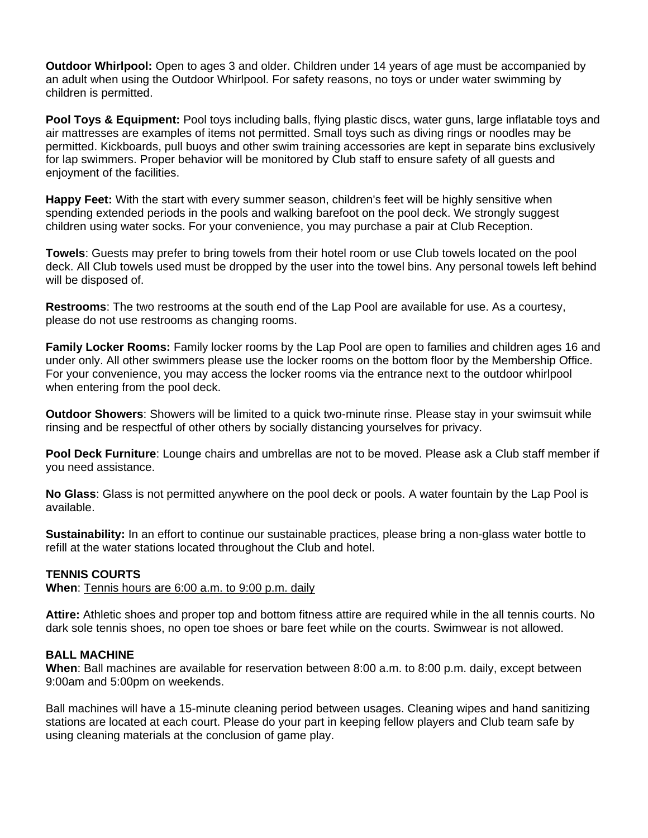**Outdoor Whirlpool:** Open to ages 3 and older. Children under 14 years of age must be accompanied by an adult when using the Outdoor Whirlpool. For safety reasons, no toys or under water swimming by children is permitted.

**Pool Toys & Equipment:** Pool toys including balls, flying plastic discs, water guns, large inflatable toys and air mattresses are examples of items not permitted. Small toys such as diving rings or noodles may be permitted. Kickboards, pull buoys and other swim training accessories are kept in separate bins exclusively for lap swimmers. Proper behavior will be monitored by Club staff to ensure safety of all guests and enjoyment of the facilities.

**Happy Feet:** With the start with every summer season, children's feet will be highly sensitive when spending extended periods in the pools and walking barefoot on the pool deck. We strongly suggest children using water socks. For your convenience, you may purchase a pair at Club Reception.

**Towels**: Guests may prefer to bring towels from their hotel room or use Club towels located on the pool deck. All Club towels used must be dropped by the user into the towel bins. Any personal towels left behind will be disposed of.

**Restrooms**: The two restrooms at the south end of the Lap Pool are available for use. As a courtesy, please do not use restrooms as changing rooms.

**Family Locker Rooms:** Family locker rooms by the Lap Pool are open to families and children ages 16 and under only. All other swimmers please use the locker rooms on the bottom floor by the Membership Office. For your convenience, you may access the locker rooms via the entrance next to the outdoor whirlpool when entering from the pool deck.

**Outdoor Showers**: Showers will be limited to a quick two-minute rinse. Please stay in your swimsuit while rinsing and be respectful of other others by socially distancing yourselves for privacy.

**Pool Deck Furniture**: Lounge chairs and umbrellas are not to be moved. Please ask a Club staff member if you need assistance.

**No Glass**: Glass is not permitted anywhere on the pool deck or pools. A water fountain by the Lap Pool is available.

**Sustainability:** In an effort to continue our sustainable practices, please bring a non-glass water bottle to refill at the water stations located throughout the Club and hotel.

#### **TENNIS COURTS**

**When**: Tennis hours are 6:00 a.m. to 9:00 p.m. daily

**Attire:** Athletic shoes and proper top and bottom fitness attire are required while in the all tennis courts. No dark sole tennis shoes, no open toe shoes or bare feet while on the courts. Swimwear is not allowed.

#### **BALL MACHINE**

**When**: Ball machines are available for reservation between 8:00 a.m. to 8:00 p.m. daily, except between 9:00am and 5:00pm on weekends.

Ball machines will have a 15-minute cleaning period between usages. Cleaning wipes and hand sanitizing stations are located at each court. Please do your part in keeping fellow players and Club team safe by using cleaning materials at the conclusion of game play.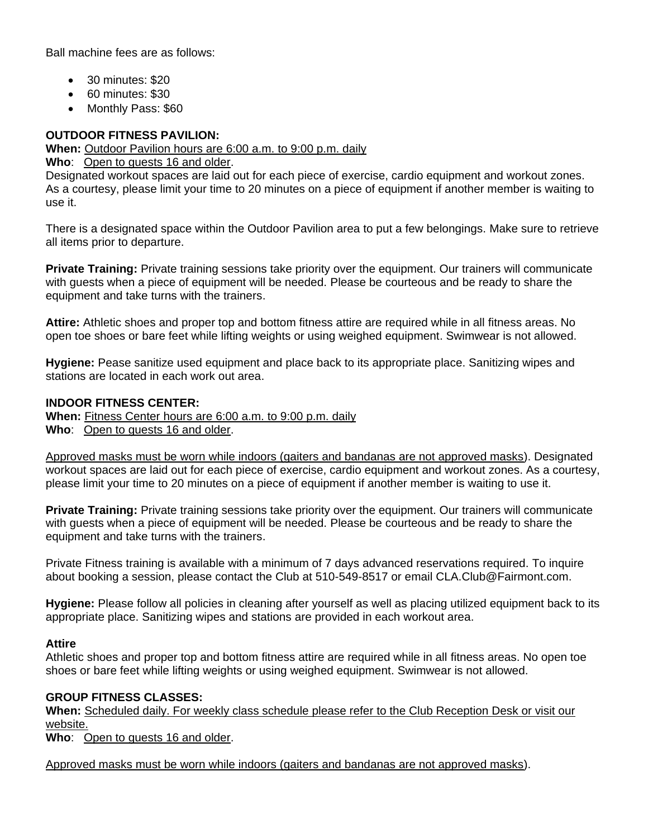Ball machine fees are as follows:

- 30 minutes: \$20
- 60 minutes: \$30
- Monthly Pass: \$60

# **OUTDOOR FITNESS PAVILION:**

**When:** Outdoor Pavilion hours are 6:00 a.m. to 9:00 p.m. daily

**Who**: Open to guests 16 and older.

Designated workout spaces are laid out for each piece of exercise, cardio equipment and workout zones. As a courtesy, please limit your time to 20 minutes on a piece of equipment if another member is waiting to use it.

There is a designated space within the Outdoor Pavilion area to put a few belongings. Make sure to retrieve all items prior to departure.

**Private Training:** Private training sessions take priority over the equipment. Our trainers will communicate with guests when a piece of equipment will be needed. Please be courteous and be ready to share the equipment and take turns with the trainers.

**Attire:** Athletic shoes and proper top and bottom fitness attire are required while in all fitness areas. No open toe shoes or bare feet while lifting weights or using weighed equipment. Swimwear is not allowed.

**Hygiene:** Pease sanitize used equipment and place back to its appropriate place. Sanitizing wipes and stations are located in each work out area.

### **INDOOR FITNESS CENTER:**

**When:** Fitness Center hours are 6:00 a.m. to 9:00 p.m. daily **Who**: Open to guests 16 and older.

Approved masks must be worn while indoors (gaiters and bandanas are not approved masks). Designated workout spaces are laid out for each piece of exercise, cardio equipment and workout zones. As a courtesy, please limit your time to 20 minutes on a piece of equipment if another member is waiting to use it.

**Private Training:** Private training sessions take priority over the equipment. Our trainers will communicate with guests when a piece of equipment will be needed. Please be courteous and be ready to share the equipment and take turns with the trainers.

Private Fitness training is available with a minimum of 7 days advanced reservations required. To inquire about booking a session, please contact the Club at 510-549-8517 or email CLA.Club@Fairmont.com.

**Hygiene:** Please follow all policies in cleaning after yourself as well as placing utilized equipment back to its appropriate place. Sanitizing wipes and stations are provided in each workout area.

### **Attire**

Athletic shoes and proper top and bottom fitness attire are required while in all fitness areas. No open toe shoes or bare feet while lifting weights or using weighed equipment. Swimwear is not allowed.

### **GROUP FITNESS CLASSES:**

**When:** Scheduled daily. For weekly class schedule please refer to the Club Reception Desk or visit our website.

**Who**: Open to guests 16 and older.

Approved masks must be worn while indoors (gaiters and bandanas are not approved masks).